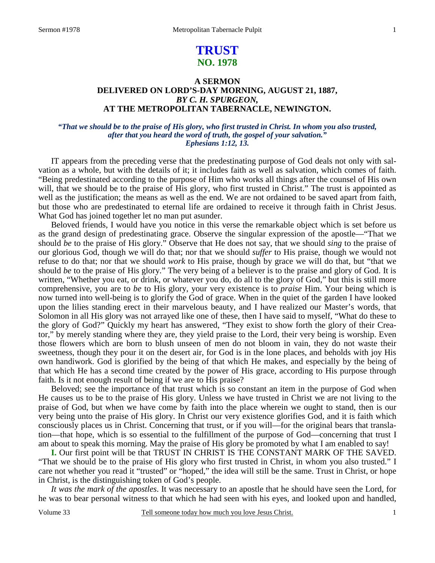# **TRUST NO. 1978**

### **A SERMON DELIVERED ON LORD'S-DAY MORNING, AUGUST 21, 1887,**  *BY C. H. SPURGEON,*  **AT THE METROPOLITAN TABERNACLE, NEWINGTON.**

### *"That we should be to the praise of His glory, who first trusted in Christ. In whom you also trusted, after that you heard the word of truth, the gospel of your salvation." Ephesians 1:12, 13.*

IT appears from the preceding verse that the predestinating purpose of God deals not only with salvation as a whole, but with the details of it; it includes faith as well as salvation, which comes of faith. "Being predestinated according to the purpose of Him who works all things after the counsel of His own will, that we should be to the praise of His glory, who first trusted in Christ." The trust is appointed as well as the justification; the means as well as the end. We are not ordained to be saved apart from faith, but those who are predestinated to eternal life are ordained to receive it through faith in Christ Jesus. What God has joined together let no man put asunder.

Beloved friends, I would have you notice in this verse the remarkable object which is set before us as the grand design of predestinating grace. Observe the singular expression of the apostle—"That we should *be* to the praise of His glory." Observe that He does not say, that we should *sing* to the praise of our glorious God, though we will do that; nor that we should *suffer* to His praise, though we would not refuse to do that; nor that we should *work* to His praise, though by grace we will do that, but "that we should *be* to the praise of His glory." The very being of a believer is to the praise and glory of God. It is written, "Whether you eat, or drink, or whatever you do, do all to the glory of God," but this is still more comprehensive, you are to *be* to His glory, your very existence is to *praise* Him. Your being which is now turned into well-being is to glorify the God of grace. When in the quiet of the garden I have looked upon the lilies standing erect in their marvelous beauty, and I have realized our Master's words, that Solomon in all His glory was not arrayed like one of these, then I have said to myself, "What do these to the glory of God?" Quickly my heart has answered, "They exist to show forth the glory of their Creator," by merely standing where they are, they yield praise to the Lord, their very being is worship. Even those flowers which are born to blush unseen of men do not bloom in vain, they do not waste their sweetness, though they pour it on the desert air, for God is in the lone places, and beholds with joy His own handiwork. God is glorified by the being of that which He makes, and especially by the being of that which He has a second time created by the power of His grace, according to His purpose through faith. Is it not enough result of being if we are to His praise?

Beloved; see the importance of that trust which is so constant an item in the purpose of God when He causes us to be to the praise of His glory. Unless we have trusted in Christ we are not living to the praise of God, but when we have come by faith into the place wherein we ought to stand, then is our very being unto the praise of His glory. In Christ our very existence glorifies God, and it is faith which consciously places us in Christ. Concerning that trust, or if you will—for the original bears that translation—that hope, which is so essential to the fulfillment of the purpose of God—concerning that trust I am about to speak this morning. May the praise of His glory be promoted by what I am enabled to say!

**I.** Our first point will be that TRUST IN CHRIST IS THE CONSTANT MARK OF THE SAVED. "That we should be to the praise of His glory who first trusted in Christ, in whom you also trusted." I care not whether you read it "trusted" or "hoped," the idea will still be the same. Trust in Christ, or hope in Christ, is the distinguishing token of God's people.

*It was the mark of the apostles*. It was necessary to an apostle that he should have seen the Lord, for he was to bear personal witness to that which he had seen with his eyes, and looked upon and handled,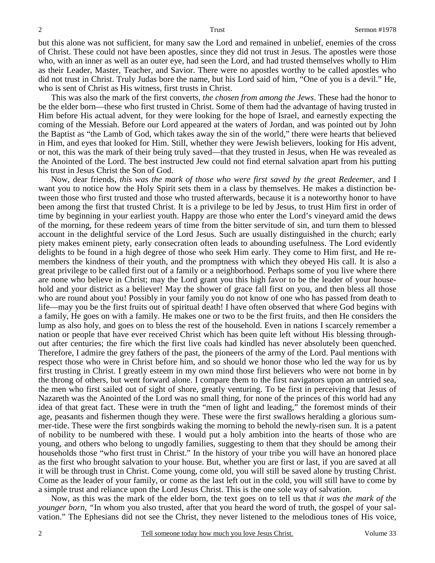but this alone was not sufficient, for many saw the Lord and remained in unbelief, enemies of the cross of Christ. These could not have been apostles, since they did not trust in Jesus. The apostles were those who, with an inner as well as an outer eye, had seen the Lord, and had trusted themselves wholly to Him as their Leader, Master, Teacher, and Savior. There were no apostles worthy to be called apostles who did not trust in Christ. Truly Judas bore the name, but his Lord said of him, "One of you is a devil." He, who is sent of Christ as His witness, first trusts in Christ.

This was also the mark of the first converts, *the chosen from among the Jews*. These had the honor to be the elder born—these who first trusted in Christ. Some of them had the advantage of having trusted in Him before His actual advent, for they were looking for the hope of Israel, and earnestly expecting the coming of the Messiah. Before our Lord appeared at the waters of Jordan, and was pointed out by John the Baptist as "the Lamb of God, which takes away the sin of the world," there were hearts that believed in Him, and eyes that looked for Him. Still, whether they were Jewish believers, looking for His advent, or not, this was the mark of their being truly saved—that they trusted in Jesus, when He was revealed as the Anointed of the Lord. The best instructed Jew could not find eternal salvation apart from his putting his trust in Jesus Christ the Son of God.

Now, dear friends, *this was the mark of those who were first saved by the great Redeemer,* and I want you to notice how the Holy Spirit sets them in a class by themselves. He makes a distinction between those who first trusted and those who trusted afterwards, because it is a noteworthy honor to have been among the first that trusted Christ. It is a privilege to be led by Jesus, to trust Him first in order of time by beginning in your earliest youth. Happy are those who enter the Lord's vineyard amid the dews of the morning, for these redeem years of time from the bitter servitude of sin, and turn them to blessed account in the delightful service of the Lord Jesus. Such are usually distinguished in the church; early piety makes eminent piety, early consecration often leads to abounding usefulness. The Lord evidently delights to be found in a high degree of those who seek Him early. They come to Him first, and He remembers the kindness of their youth, and the promptness with which they obeyed His call. It is also a great privilege to be called first out of a family or a neighborhood. Perhaps some of you live where there are none who believe in Christ; may the Lord grant you this high favor to be the leader of your household and your district as a believer! May the shower of grace fall first on you, and then bless all those who are round about you! Possibly in your family you do not know of one who has passed from death to life—may you be the first fruits out of spiritual death! I have often observed that where God begins with a family, He goes on with a family. He makes one or two to be the first fruits, and then He considers the lump as also holy, and goes on to bless the rest of the household. Even in nations I scarcely remember a nation or people that have ever received Christ which has been quite left without His blessing throughout after centuries; the fire which the first live coals had kindled has never absolutely been quenched. Therefore, I admire the grey fathers of the past, the pioneers of the army of the Lord. Paul mentions with respect those who were in Christ before him, and so should we honor those who led the way for us by first trusting in Christ. I greatly esteem in my own mind those first believers who were not borne in by the throng of others, but went forward alone. I compare them to the first navigators upon an untried sea, the men who first sailed out of sight of shore, greatly venturing. To be first in perceiving that Jesus of Nazareth was the Anointed of the Lord was no small thing, for none of the princes of this world had any idea of that great fact. These were in truth the "men of light and leading," the foremost minds of their age, peasants and fishermen though they were. These were the first swallows heralding a glorious summer-tide. These were the first songbirds waking the morning to behold the newly-risen sun. It is a patent of nobility to be numbered with these. I would put a holy ambition into the hearts of those who are young, and others who belong to ungodly families, suggesting to them that they should be among their households those "who first trust in Christ." In the history of your tribe you will have an honored place as the first who brought salvation to your house. But, whether you are first or last, if you are saved at all it will be through trust in Christ. Come young, come old, you will still be saved alone by trusting Christ. Come as the leader of your family, or come as the last left out in the cold, you will still have to come by a simple trust and reliance upon the Lord Jesus Christ. This is the one sole way of salvation.

Now, as this was the mark of the elder born, the text goes on to tell us that *it was the mark of the younger born,* "In whom you also trusted, after that you heard the word of truth, the gospel of your salvation." The Ephesians did not see the Christ, they never listened to the melodious tones of His voice,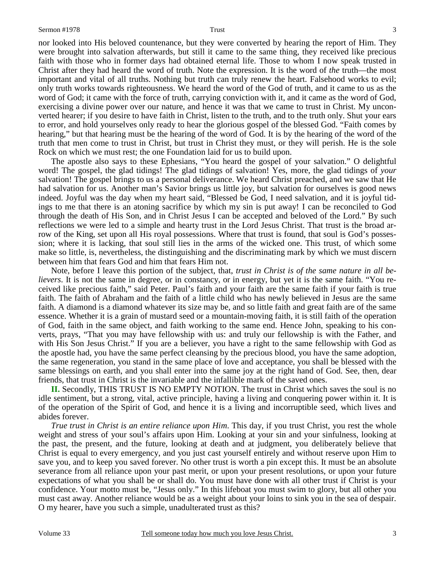nor looked into His beloved countenance, but they were converted by hearing the report of Him. They were brought into salvation afterwards, but still it came to the same thing, they received like precious faith with those who in former days had obtained eternal life. Those to whom I now speak trusted in Christ after they had heard the word of truth. Note the expression. It is the word of *the* truth—the most important and vital of all truths. Nothing but truth can truly renew the heart. Falsehood works to evil; only truth works towards righteousness. We heard the word of the God of truth, and it came to us as the word of God; it came with the force of truth, carrying conviction with it, and it came as the word of God, exercising a divine power over our nature, and hence it was that we came to trust in Christ. My unconverted hearer; if you desire to have faith in Christ, listen to the truth, and to the truth only. Shut your ears to error, and hold yourselves only ready to hear the glorious gospel of the blessed God. "Faith comes by hearing," but that hearing must be the hearing of the word of God. It is by the hearing of the word of the truth that men come to trust in Christ, but trust in Christ they must, or they will perish. He is the sole Rock on which we must rest; the one Foundation laid for us to build upon.

The apostle also says to these Ephesians, "You heard the gospel of your salvation." O delightful word! The gospel, the glad tidings! The glad tidings of salvation! Yes, more, the glad tidings of *your*  salvation! The gospel brings to us a personal deliverance. We heard Christ preached, and we saw that He had salvation for us. Another man's Savior brings us little joy, but salvation for ourselves is good news indeed. Joyful was the day when my heart said, "Blessed be God, I need salvation, and it is joyful tidings to me that there is an atoning sacrifice by which my sin is put away! I can be reconciled to God through the death of His Son, and in Christ Jesus I can be accepted and beloved of the Lord." By such reflections we were led to a simple and hearty trust in the Lord Jesus Christ. That trust is the broad arrow of the King, set upon all His royal possessions. Where that trust is found, that soul is God's possession; where it is lacking, that soul still lies in the arms of the wicked one. This trust, of which some make so little, is, nevertheless, the distinguishing and the discriminating mark by which we must discern between him that fears God and him that fears Him not.

Note, before I leave this portion of the subject, that, *trust in Christ is of the same nature in all believers*. It is not the same in degree, or in constancy, or in energy, but yet it is the same faith. "You received like precious faith," said Peter. Paul's faith and your faith are the same faith if your faith is true faith. The faith of Abraham and the faith of a little child who has newly believed in Jesus are the same faith. A diamond is a diamond whatever its size may be, and so little faith and great faith are of the same essence. Whether it is a grain of mustard seed or a mountain-moving faith, it is still faith of the operation of God, faith in the same object, and faith working to the same end. Hence John, speaking to his converts, prays, "That you may have fellowship with us: and truly our fellowship is with the Father, and with His Son Jesus Christ." If you are a believer, you have a right to the same fellowship with God as the apostle had, you have the same perfect cleansing by the precious blood, you have the same adoption, the same regeneration, you stand in the same place of love and acceptance, you shall be blessed with the same blessings on earth, and you shall enter into the same joy at the right hand of God. See, then, dear friends, that trust in Christ is the invariable and the infallible mark of the saved ones.

**II.** Secondly, THIS TRUST IS NO EMPTY NOTION. The trust in Christ which saves the soul is no idle sentiment, but a strong, vital, active principle, having a living and conquering power within it. It is of the operation of the Spirit of God, and hence it is a living and incorruptible seed, which lives and abides forever.

*True trust in Christ is an entire reliance upon Him*. This day, if you trust Christ, you rest the whole weight and stress of your soul's affairs upon Him. Looking at your sin and your sinfulness, looking at the past, the present, and the future, looking at death and at judgment, you deliberately believe that Christ is equal to every emergency, and you just cast yourself entirely and without reserve upon Him to save you, and to keep you saved forever. No other trust is worth a pin except this. It must be an absolute severance from all reliance upon your past merit, or upon your present resolutions, or upon your future expectations of what you shall be or shall do. You must have done with all other trust if Christ is your confidence. Your motto must be, "Jesus only." In this lifeboat you must swim to glory, but all other you must cast away. Another reliance would be as a weight about your loins to sink you in the sea of despair. O my hearer, have you such a simple, unadulterated trust as this?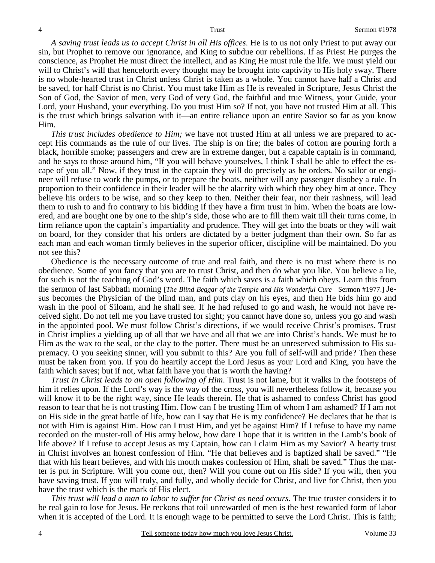*A saving trust leads us to accept Christ in all His offices*. He is to us not only Priest to put away our sin, but Prophet to remove our ignorance, and King to subdue our rebellions. If as Priest He purges the conscience, as Prophet He must direct the intellect, and as King He must rule the life. We must yield our will to Christ's will that henceforth every thought may be brought into captivity to His holy sway. There is no whole-hearted trust in Christ unless Christ is taken as a whole. You cannot have half a Christ and be saved, for half Christ is no Christ. You must take Him as He is revealed in Scripture, Jesus Christ the Son of God, the Savior of men, very God of very God, the faithful and true Witness, your Guide, your Lord, your Husband, your everything. Do you trust Him so? If not, you have not trusted Him at all. This is the trust which brings salvation with it—an entire reliance upon an entire Savior so far as you know Him.

*This trust includes obedience to Him;* we have not trusted Him at all unless we are prepared to accept His commands as the rule of our lives. The ship is on fire; the bales of cotton are pouring forth a black, horrible smoke; passengers and crew are in extreme danger, but a capable captain is in command, and he says to those around him, "If you will behave yourselves, I think I shall be able to effect the escape of you all." Now, if they trust in the captain they will do precisely as he orders. No sailor or engineer will refuse to work the pumps, or to prepare the boats, neither will any passenger disobey a rule. In proportion to their confidence in their leader will be the alacrity with which they obey him at once. They believe his orders to be wise, and so they keep to then. Neither their fear, nor their rashness, will lead them to rush to and fro contrary to his bidding if they have a firm trust in him. When the boats are lowered, and are bought one by one to the ship's side, those who are to fill them wait till their turns come, in firm reliance upon the captain's impartiality and prudence. They will get into the boats or they will wait on board, for they consider that his orders are dictated by a better judgment than their own. So far as each man and each woman firmly believes in the superior officer, discipline will be maintained. Do you not see this?

Obedience is the necessary outcome of true and real faith, and there is no trust where there is no obedience. Some of you fancy that you are to trust Christ, and then do what you like. You believe a lie, for such is not the teaching of God's word. The faith which saves is a faith which obeys. Learn this from the sermon of last Sabbath morning [*The Blind Beggar of the Temple and His Wonderful Cure—*Sermon #1977.] Jesus becomes the Physician of the blind man, and puts clay on his eyes, and then He bids him go and wash in the pool of Siloam, and he shall see. If he had refused to go and wash, he would not have received sight. Do not tell me you have trusted for sight; you cannot have done so, unless you go and wash in the appointed pool. We must follow Christ's directions, if we would receive Christ's promises. Trust in Christ implies a yielding up of all that we have and all that we are into Christ's hands. We must be to Him as the wax to the seal, or the clay to the potter. There must be an unreserved submission to His supremacy. O you seeking sinner, will you submit to this? Are you full of self-will and pride? Then these must be taken from you. If you do heartily accept the Lord Jesus as your Lord and King, you have the faith which saves; but if not, what faith have you that is worth the having?

*Trust in Christ leads to an open following of Him*. Trust is not lame, but it walks in the footsteps of him it relies upon. If the Lord's way is the way of the cross, you will nevertheless follow it, because you will know it to be the right way, since He leads therein. He that is ashamed to confess Christ has good reason to fear that he is not trusting Him. How can I be trusting Him of whom I am ashamed? If I am not on His side in the great battle of life, how can I say that He is my confidence? He declares that he that is not with Him is against Him. How can I trust Him, and yet be against Him? If I refuse to have my name recorded on the muster-roll of His army below, how dare I hope that it is written in the Lamb's book of life above? If I refuse to accept Jesus as my Captain, how can I claim Him as my Savior? A hearty trust in Christ involves an honest confession of Him. "He that believes and is baptized shall be saved." "He that with his heart believes, and with his mouth makes confession of Him, shall be saved." Thus the matter is put in Scripture. Will you come out, then? Will you come out on His side? If you will, then you have saving trust. If you will truly, and fully, and wholly decide for Christ, and live for Christ, then you have the trust which is the mark of His elect.

*This trust will lead a man to labor to suffer for Christ as need occurs*. The true truster considers it to be real gain to lose for Jesus. He reckons that toil unrewarded of men is the best rewarded form of labor when it is accepted of the Lord. It is enough wage to be permitted to serve the Lord Christ. This is faith;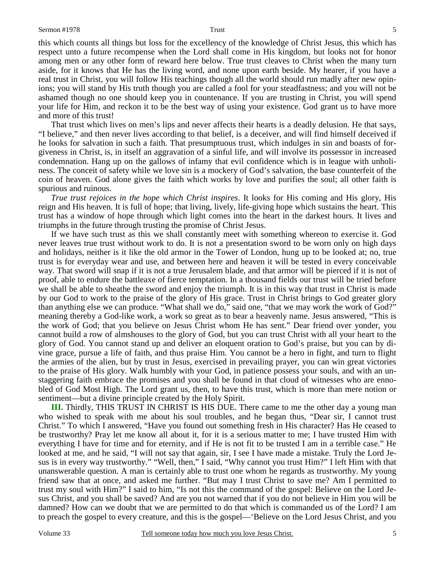this which counts all things but loss for the excellency of the knowledge of Christ Jesus, this which has respect unto a future recompense when the Lord shall come in His kingdom, but looks not for honor among men or any other form of reward here below. True trust cleaves to Christ when the many turn aside, for it knows that He has the living word, and none upon earth beside. My hearer, if you have a real trust in Christ, you will follow His teachings though all the world should run madly after new opinions; you will stand by His truth though you are called a fool for your steadfastness; and you will not be ashamed though no one should keep you in countenance. If you are trusting in Christ, you will spend your life for Him, and reckon it to be the best way of using your existence. God grant us to have more and more of this trust!

That trust which lives on men's lips and never affects their hearts is a deadly delusion. He that says, "I believe," and then never lives according to that belief, is a deceiver, and will find himself deceived if he looks for salvation in such a faith. That presumptuous trust, which indulges in sin and boasts of forgiveness in Christ, is, in itself an aggravation of a sinful life, and will involve its possessor in increased condemnation. Hang up on the gallows of infamy that evil confidence which is in league with unholiness. The conceit of safety while we love sin is a mockery of God's salvation, the base counterfeit of the coin of heaven. God alone gives the faith which works by love and purifies the soul; all other faith is spurious and ruinous.

*True trust rejoices in the hope which Christ inspires*. It looks for His coming and His glory, His reign and His heaven. It is full of hope; that living, lively, life-giving hope which sustains the heart. This trust has a window of hope through which light comes into the heart in the darkest hours. It lives and triumphs in the future through trusting the promise of Christ Jesus.

If we have such trust as this we shall constantly meet with something whereon to exercise it. God never leaves true trust without work to do. It is not a presentation sword to be worn only on high days and holidays, neither is it like the old armor in the Tower of London, hung up to be looked at; no, true trust is for everyday wear and use, and between here and heaven it will be tested in every conceivable way. That sword will snap if it is not a true Jerusalem blade, and that armor will be pierced if it is not of proof, able to endure the battleaxe of fierce temptation. In a thousand fields our trust will be tried before we shall be able to sheathe the sword and enjoy the triumph. It is in this way that trust in Christ is made by our God to work to the praise of the glory of His grace. Trust in Christ brings to God greater glory than anything else we can produce. "What shall we do," said one, "that we may work the work of God?" meaning thereby a God-like work, a work so great as to bear a heavenly name. Jesus answered, "This is the work of God; that you believe on Jesus Christ whom He has sent." Dear friend over yonder, you cannot build a row of almshouses to the glory of God, but you can trust Christ with all your heart to the glory of God. You cannot stand up and deliver an eloquent oration to God's praise, but you can by divine grace, pursue a life of faith, and thus praise Him. You cannot be a hero in fight, and turn to flight the armies of the alien, but by trust in Jesus, exercised in prevailing prayer, you can win great victories to the praise of His glory. Walk humbly with your God, in patience possess your souls, and with an unstaggering faith embrace the promises and you shall be found in that cloud of witnesses who are ennobled of God Most High. The Lord grant us, then, to have this trust, which is more than mere notion or sentiment—but a divine principle created by the Holy Spirit.

**III.** Thirdly, THIS TRUST IN CHRIST IS HIS DUE. There came to me the other day a young man who wished to speak with me about his soul troubles, and he began thus, "Dear sir, I cannot trust Christ." To which I answered, "Have you found out something fresh in His character? Has He ceased to be trustworthy? Pray let me know all about it, for it is a serious matter to me; I have trusted Him with everything I have for time and for eternity, and if He is not fit to be trusted I am in a terrible case." He looked at me, and he said, "I will not say that again, sir, I see I have made a mistake. Truly the Lord Jesus is in every way trustworthy." "Well, then," I said, "Why cannot you trust Him?" I left Him with that unanswerable question. A man is certainly able to trust one whom he regards as trustworthy. My young friend saw that at once, and asked me further. "But may I trust Christ to save me? Am I permitted to trust my soul with Him?" I said to him, "Is not this the command of the gospel: Believe on the Lord Jesus Christ, and you shall be saved? And are you not warned that if you do not believe in Him you will be damned? How can we doubt that we are permitted to do that which is commanded us of the Lord? I am to preach the gospel to every creature, and this is the gospel—'Believe on the Lord Jesus Christ, and you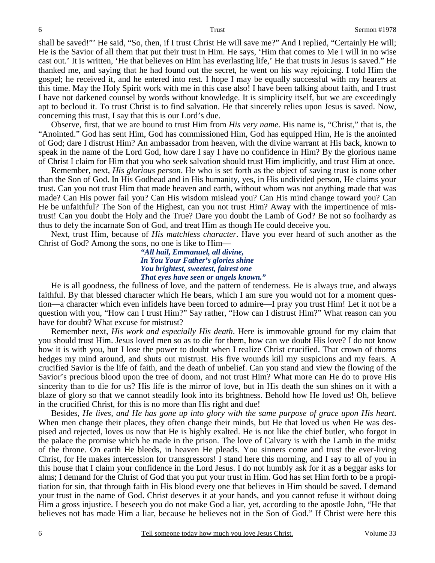shall be saved!"' He said, "So, then, if I trust Christ He will save me?" And I replied, "Certainly He will; He is the Savior of all them that put their trust in Him. He says, 'Him that comes to Me I will in no wise cast out.' It is written, 'He that believes on Him has everlasting life,' He that trusts in Jesus is saved." He thanked me, and saying that he had found out the secret, he went on his way rejoicing. I told Him the gospel; he received it, and he entered into rest. I hope I may be equally successful with my hearers at this time. May the Holy Spirit work with me in this case also! I have been talking about faith, and I trust I have not darkened counsel by words without knowledge. It is simplicity itself, but we are exceedingly apt to becloud it. To trust Christ is to find salvation. He that sincerely relies upon Jesus is saved. Now, concerning this trust, I say that this is our Lord's due.

Observe, first, that we are bound to trust Him from *His very name*. His name is, "Christ," that is, the "Anointed." God has sent Him, God has commissioned Him, God has equipped Him, He is the anointed of God; dare I distrust Him? An ambassador from heaven, with the divine warrant at His back, known to speak in the name of the Lord God, how dare I say I have no confidence in Him? By the glorious name of Christ I claim for Him that you who seek salvation should trust Him implicitly, and trust Him at once.

Remember, next, *His glorious person*. He who is set forth as the object of saving trust is none other than the Son of God. In His Godhead and in His humanity, yes, in His undivided person, He claims your trust. Can you not trust Him that made heaven and earth, without whom was not anything made that was made? Can His power fail you? Can His wisdom mislead you? Can His mind change toward you? Can He be unfaithful? The Son of the Highest, can you not trust Him? Away with the impertinence of mistrust! Can you doubt the Holy and the True? Dare you doubt the Lamb of God? Be not so foolhardy as thus to defy the incarnate Son of God, and treat Him as though He could deceive you.

Next, trust Him, because of *His matchless character*. Have you ever heard of such another as the Christ of God? Among the sons, no one is like to Him—

> *"All hail, Emmanuel, all divine, In You Your Father's glories shine You brightest, sweetest, fairest one That eyes have seen or angels known."*

He is all goodness, the fullness of love, and the pattern of tenderness. He is always true, and always faithful. By that blessed character which He bears, which I am sure you would not for a moment question—a character which even infidels have been forced to admire—I pray you trust Him! Let it not be a question with you, "How can I trust Him?" Say rather, "How can I distrust Him?" What reason can you have for doubt? What excuse for mistrust?

Remember next, *His work and especially His death*. Here is immovable ground for my claim that you should trust Him. Jesus loved men so as to die for them, how can we doubt His love? I do not know how it is with you, but I lose the power to doubt when I realize Christ crucified. That crown of thorns hedges my mind around, and shuts out mistrust. His five wounds kill my suspicions and my fears. A crucified Savior is the life of faith, and the death of unbelief. Can you stand and view the flowing of the Savior's precious blood upon the tree of doom, and not trust Him? What more can He do to prove His sincerity than to die for us? His life is the mirror of love, but in His death the sun shines on it with a blaze of glory so that we cannot steadily look into its brightness. Behold how He loved us! Oh, believe in the crucified Christ, for this is no more than His right and due!

Besides, *He lives, and He has gone up into glory with the same purpose of grace upon His heart*. When men change their places, they often change their minds, but He that loved us when He was despised and rejected, loves us now that He is highly exalted. He is not like the chief butler, who forgot in the palace the promise which he made in the prison. The love of Calvary is with the Lamb in the midst of the throne. On earth He bleeds, in heaven He pleads. You sinners come and trust the ever-living Christ, for He makes intercession for transgressors! I stand here this morning, and I say to all of you in this house that I claim your confidence in the Lord Jesus. I do not humbly ask for it as a beggar asks for alms; I demand for the Christ of God that you put your trust in Him. God has set Him forth to be a propitiation for sin, that through faith in His blood every one that believes in Him should be saved. I demand your trust in the name of God. Christ deserves it at your hands, and you cannot refuse it without doing Him a gross injustice. I beseech you do not make God a liar, yet, according to the apostle John, "He that believes not has made Him a liar, because he believes not in the Son of God." If Christ were here this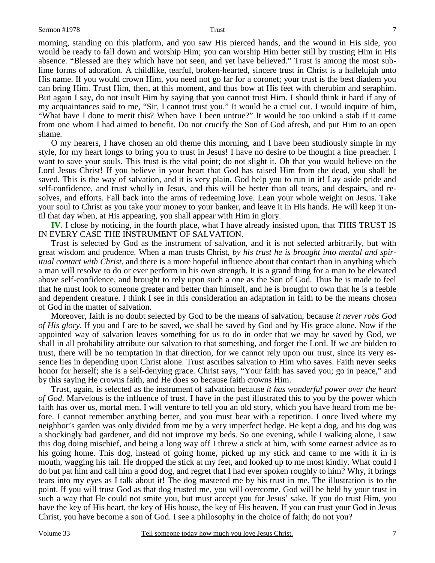morning, standing on this platform, and you saw His pierced hands, and the wound in His side, you would be ready to fall down and worship Him; you can worship Him better still by trusting Him in His absence. "Blessed are they which have not seen, and yet have believed." Trust is among the most sublime forms of adoration. A childlike, tearful, broken-hearted, sincere trust in Christ is a hallelujah unto His name. If you would crown Him, you need not go far for a coronet; your trust is the best diadem you can bring Him. Trust Him, then, at this moment, and thus bow at His feet with cherubim and seraphim. But again I say, do not insult Him by saying that you cannot trust Him. I should think it hard if any of my acquaintances said to me, "Sir, I cannot trust you." It would be a cruel cut. I would inquire of him, "What have I done to merit this? When have I been untrue?" It would be too unkind a stab if it came from one whom I had aimed to benefit. Do not crucify the Son of God afresh, and put Him to an open shame.

O my hearers, I have chosen an old theme this morning, and I have been studiously simple in my style, for my heart longs to bring you to trust in Jesus! I have no desire to be thought a fine preacher. I want to save your souls. This trust is the vital point; do not slight it. Oh that you would believe on the Lord Jesus Christ! If you believe in your heart that God has raised Him from the dead, you shall be saved. This is the way of salvation, and it is very plain. God help you to run in it! Lay aside pride and self-confidence, and trust wholly in Jesus, and this will be better than all tears, and despairs, and resolves, and efforts. Fall back into the arms of redeeming love. Lean your whole weight on Jesus. Take your soul to Christ as you take your money to your banker, and leave it in His hands. He will keep it until that day when, at His appearing, you shall appear with Him in glory.

**IV.** I close by noticing, in the fourth place, what I have already insisted upon, that THIS TRUST IS IN EVERY CASE THE INSTRUMENT OF SALVATION.

Trust is selected by God as the instrument of salvation, and it is not selected arbitrarily, but with great wisdom and prudence. When a man trusts Christ, *by his trust he is brought into mental and spiritual contact with Christ,* and there is a more hopeful influence about that contact than in anything which a man will resolve to do or ever perform in his own strength. It is a grand thing for a man to be elevated above self-confidence, and brought to rely upon such a one as the Son of God. Thus he is made to feel that he must look to someone greater and better than himself, and he is brought to own that he is a feeble and dependent creature. I think I see in this consideration an adaptation in faith to be the means chosen of God in the matter of salvation.

Moreover, faith is no doubt selected by God to be the means of salvation, because *it never robs God of His glory*. If you and I are to be saved, we shall be saved by God and by His grace alone. Now if the appointed way of salvation leaves something for us to do in order that we may be saved by God, we shall in all probability attribute our salvation to that something, and forget the Lord. If we are bidden to trust, there will be no temptation in that direction, for we cannot rely upon our trust, since its very essence lies in depending upon Christ alone. Trust ascribes salvation to Him who saves. Faith never seeks honor for herself; she is a self-denying grace. Christ says, "Your faith has saved you; go in peace," and by this saying He crowns faith, and He does so because faith crowns Him.

Trust, again, is selected as the instrument of salvation because *it has wonderful power over the heart of God*. Marvelous is the influence of trust. I have in the past illustrated this to you by the power which faith has over us, mortal men. I will venture to tell you an old story, which you have heard from me before. I cannot remember anything better, and you must bear with a repetition. I once lived where my neighbor's garden was only divided from me by a very imperfect hedge. He kept a dog, and his dog was a shockingly bad gardener, and did not improve my beds. So one evening, while I walking alone, I saw this dog doing mischief, and being a long way off I threw a stick at him, with some earnest advice as to his going home. This dog, instead of going home, picked up my stick and came to me with it in is mouth, wagging his tail. He dropped the stick at my feet, and looked up to me most kindly. What could I do but pat him and call him a good dog, and regret that I had ever spoken roughly to him? Why, it brings tears into my eyes as I talk about it! The dog mastered me by his trust in me*.* The illustration is to the point. If you will trust God as that dog trusted me, you will overcome. God will be held by your trust in such a way that He could not smite you, but must accept you for Jesus' sake. If you do trust Him, you have the key of His heart, the key of His house, the key of His heaven. If you can trust your God in Jesus Christ, you have become a son of God. I see a philosophy in the choice of faith; do not you?